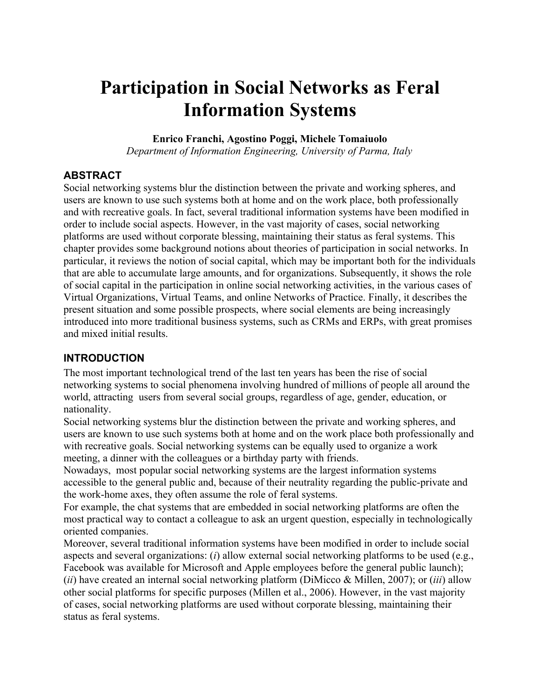# **Participation in Social Networks as Feral Information Systems**

#### **Enrico Franchi, Agostino Poggi, Michele Tomaiuolo**

*Department of Information Engineering, University of Parma, Italy*

## **ABSTRACT**

Social networking systems blur the distinction between the private and working spheres, and users are known to use such systems both at home and on the work place, both professionally and with recreative goals. In fact, several traditional information systems have been modified in order to include social aspects. However, in the vast majority of cases, social networking platforms are used without corporate blessing, maintaining their status as feral systems. This chapter provides some background notions about theories of participation in social networks. In particular, it reviews the notion of social capital, which may be important both for the individuals that are able to accumulate large amounts, and for organizations. Subsequently, it shows the role of social capital in the participation in online social networking activities, in the various cases of Virtual Organizations, Virtual Teams, and online Networks of Practice. Finally, it describes the present situation and some possible prospects, where social elements are being increasingly introduced into more traditional business systems, such as CRMs and ERPs, with great promises and mixed initial results.

## **INTRODUCTION**

The most important technological trend of the last ten years has been the rise of social networking systems to social phenomena involving hundred of millions of people all around the world, attracting users from several social groups, regardless of age, gender, education, or nationality.

Social networking systems blur the distinction between the private and working spheres, and users are known to use such systems both at home and on the work place both professionally and with recreative goals. Social networking systems can be equally used to organize a work meeting, a dinner with the colleagues or a birthday party with friends.

Nowadays, most popular social networking systems are the largest information systems accessible to the general public and, because of their neutrality regarding the public-private and the work-home axes, they often assume the role of feral systems.

For example, the chat systems that are embedded in social networking platforms are often the most practical way to contact a colleague to ask an urgent question, especially in technologically oriented companies.

Moreover, several traditional information systems have been modified in order to include social aspects and several organizations: (*i*) allow external social networking platforms to be used (e.g., Facebook was available for Microsoft and Apple employees before the general public launch); (*ii*) have created an internal social networking platform (DiMicco & Millen, 2007); or (*iii*) allow other social platforms for specific purposes (Millen et al., 2006). However, in the vast majority of cases, social networking platforms are used without corporate blessing, maintaining their status as feral systems.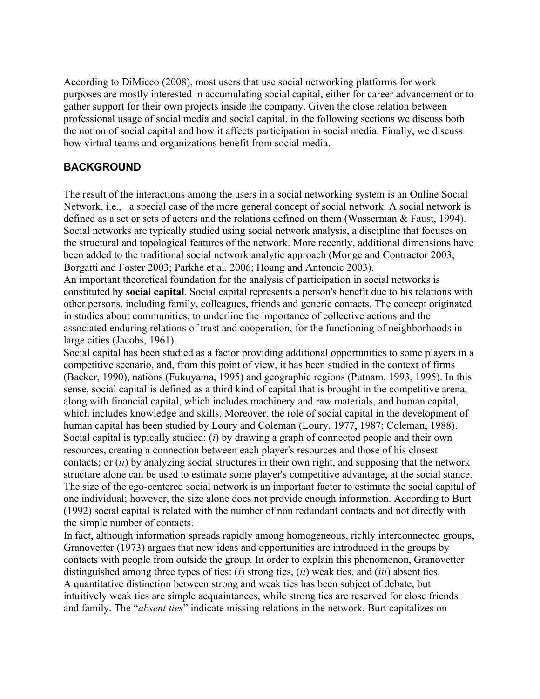According to DiMicco (2008), most users that use social networking platforms for work purposes are mostly interested in accumulating social capital, either for career advancement or to gather support for their own projects inside the company. Given the close relation between professional usage of social media and social capital, in the following sections we discuss both the notion of social capital and how it affects participation in social media. Finally, we discuss how virtual teams and organizations benefit from social media.

## **BACKGROUND**

The result of the interactions among the users in a social networking system is an Online Social Network, i.e., a special case of the more general concept of social network. A social network is defined as a set or sets of actors and the relations defined on them (Wasserman & Faust, 1994). Social networks are typically studied using social network analysis, a discipline that focuses on the structural and topological features of the network. More recently, additional dimensions have been added to the traditional social network analytic approach (Monge and Contractor 2003; Borgatti and Foster 2003; Parkhe et al. 2006; Hoang and Antoncic 2003).

An important theoretical foundation for the analysis of participation in social networks is constituted by **social capital**. Social capital represents a person's benefit due to his relations with other persons, including family, colleagues, friends and generic contacts. The concept originated in studies about communities, to underline the importance of collective actions and the associated enduring relations of trust and cooperation, for the functioning of neighborhoods in large cities (Jacobs, 1961).

Social capital has been studied as a factor providing additional opportunities to some players in a competitive scenario, and, from this point of view, it has been studied in the context of firms (Backer, 1990), nations (Fukuyama, 1995) and geographic regions (Putnam, 1993, 1995). In this sense, social capital is defined as a third kind of capital that is brought in the competitive arena, along with financial capital, which includes machinery and raw materials, and human capital, which includes knowledge and skills. Moreover, the role of social capital in the development of human capital has been studied by Loury and Coleman (Loury, 1977, 1987; Coleman, 1988). Social capital is typically studied: (*i*) by drawing a graph of connected people and their own resources, creating a connection between each player's resources and those of his closest contacts; or (*ii*) by analyzing social structures in their own right, and supposing that the network structure alone can be used to estimate some player's competitive advantage, at the social stance. The size of the ego-centered social network is an important factor to estimate the social capital of one individual; however, the size alone does not provide enough information. According to Burt (1992) social capital is related with the number of non redundant contacts and not directly with the simple number of contacts.

In fact, although information spreads rapidly among homogeneous, richly interconnected groups, Granovetter (1973) argues that new ideas and opportunities are introduced in the groups by contacts with people from outside the group. In order to explain this phenomenon, Granovetter distinguished among three types of ties: (*i*) strong ties, (*ii*) weak ties, and (*iii*) absent ties. A quantitative distinction between strong and weak ties has been subject of debate, but intuitively weak ties are simple acquaintances, while strong ties are reserved for close friends and family. The "*absent ties*" indicate missing relations in the network. Burt capitalizes on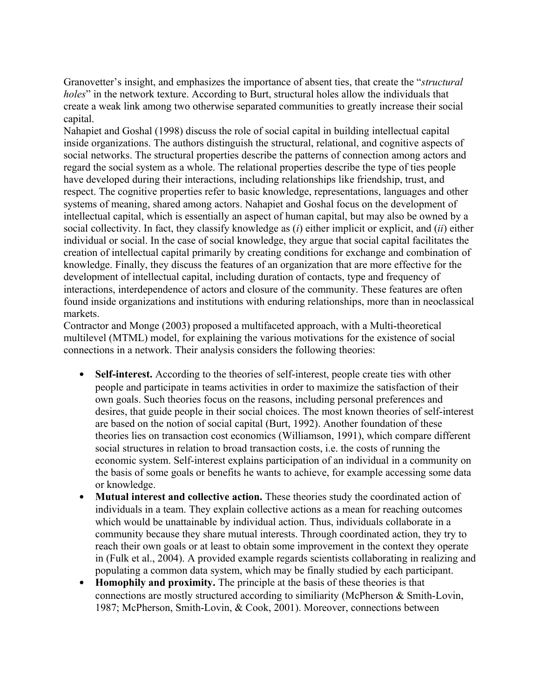Granovetter's insight, and emphasizes the importance of absent ties, that create the "*structural holes*" in the network texture. According to Burt, structural holes allow the individuals that create a weak link among two otherwise separated communities to greatly increase their social capital.

Nahapiet and Goshal (1998) discuss the role of social capital in building intellectual capital inside organizations. The authors distinguish the structural, relational, and cognitive aspects of social networks. The structural properties describe the patterns of connection among actors and regard the social system as a whole. The relational properties describe the type of ties people have developed during their interactions, including relationships like friendship, trust, and respect. The cognitive properties refer to basic knowledge, representations, languages and other systems of meaning, shared among actors. Nahapiet and Goshal focus on the development of intellectual capital, which is essentially an aspect of human capital, but may also be owned by a social collectivity. In fact, they classify knowledge as (*i*) either implicit or explicit, and (*ii*) either individual or social. In the case of social knowledge, they argue that social capital facilitates the creation of intellectual capital primarily by creating conditions for exchange and combination of knowledge. Finally, they discuss the features of an organization that are more effective for the development of intellectual capital, including duration of contacts, type and frequency of interactions, interdependence of actors and closure of the community. These features are often found inside organizations and institutions with enduring relationships, more than in neoclassical markets.

Contractor and Monge (2003) proposed a multifaceted approach, with a Multi-theoretical multilevel (MTML) model, for explaining the various motivations for the existence of social connections in a network. Their analysis considers the following theories:

- **Self-interest.** According to the theories of self-interest, people create ties with other people and participate in teams activities in order to maximize the satisfaction of their own goals. Such theories focus on the reasons, including personal preferences and desires, that guide people in their social choices. The most known theories of self-interest are based on the notion of social capital (Burt, 1992). Another foundation of these theories lies on transaction cost economics (Williamson, 1991), which compare different social structures in relation to broad transaction costs, i.e. the costs of running the economic system. Self-interest explains participation of an individual in a community on the basis of some goals or benefits he wants to achieve, for example accessing some data or knowledge.
- **Mutual interest and collective action.** These theories study the coordinated action of individuals in a team. They explain collective actions as a mean for reaching outcomes which would be unattainable by individual action. Thus, individuals collaborate in a community because they share mutual interests. Through coordinated action, they try to reach their own goals or at least to obtain some improvement in the context they operate in (Fulk et al., 2004). A provided example regards scientists collaborating in realizing and populating a common data system, which may be finally studied by each participant.
- **Homophily and proximity.** The principle at the basis of these theories is that connections are mostly structured according to similiarity (McPherson & Smith-Lovin, 1987; McPherson, Smith-Lovin, & Cook, 2001). Moreover, connections between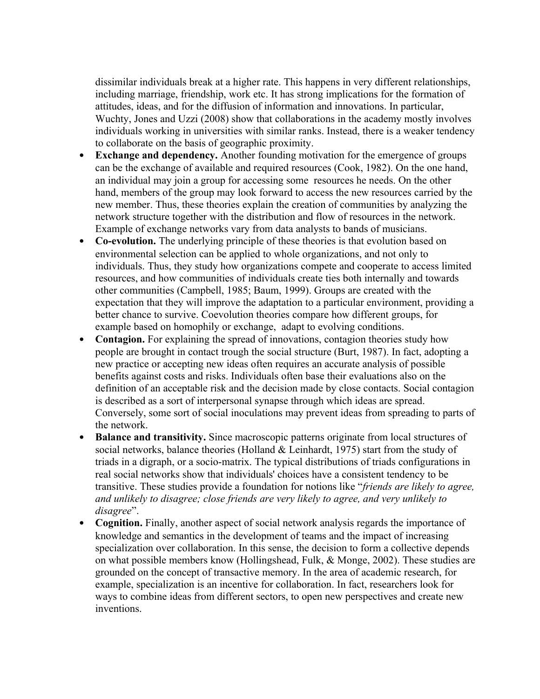dissimilar individuals break at a higher rate. This happens in very different relationships, including marriage, friendship, work etc. It has strong implications for the formation of attitudes, ideas, and for the diffusion of information and innovations. In particular, Wuchty, Jones and Uzzi (2008) show that collaborations in the academy mostly involves individuals working in universities with similar ranks. Instead, there is a weaker tendency to collaborate on the basis of geographic proximity.

- **Exchange and dependency.** Another founding motivation for the emergence of groups can be the exchange of available and required resources (Cook, 1982). On the one hand, an individual may join a group for accessing some resources he needs. On the other hand, members of the group may look forward to access the new resources carried by the new member. Thus, these theories explain the creation of communities by analyzing the network structure together with the distribution and flow of resources in the network. Example of exchange networks vary from data analysts to bands of musicians.
- **Co-evolution.** The underlying principle of these theories is that evolution based on environmental selection can be applied to whole organizations, and not only to individuals. Thus, they study how organizations compete and cooperate to access limited resources, and how communities of individuals create ties both internally and towards other communities (Campbell, 1985; Baum, 1999). Groups are created with the expectation that they will improve the adaptation to a particular environment, providing a better chance to survive. Coevolution theories compare how different groups, for example based on homophily or exchange, adapt to evolving conditions.
- **Contagion.** For explaining the spread of innovations, contagion theories study how people are brought in contact trough the social structure (Burt, 1987). In fact, adopting a new practice or accepting new ideas often requires an accurate analysis of possible benefits against costs and risks. Individuals often base their evaluations also on the definition of an acceptable risk and the decision made by close contacts. Social contagion is described as a sort of interpersonal synapse through which ideas are spread. Conversely, some sort of social inoculations may prevent ideas from spreading to parts of the network.
- **Balance and transitivity.** Since macroscopic patterns originate from local structures of social networks, balance theories (Holland & Leinhardt, 1975) start from the study of triads in a digraph, or a socio-matrix. The typical distributions of triads configurations in real social networks show that individuals' choices have a consistent tendency to be transitive. These studies provide a foundation for notions like "*friends are likely to agree, and unlikely to disagree; close friends are very likely to agree, and very unlikely to disagree*".
- **Cognition.** Finally, another aspect of social network analysis regards the importance of knowledge and semantics in the development of teams and the impact of increasing specialization over collaboration. In this sense, the decision to form a collective depends on what possible members know (Hollingshead, Fulk, & Monge, 2002). These studies are grounded on the concept of transactive memory. In the area of academic research, for example, specialization is an incentive for collaboration. In fact, researchers look for ways to combine ideas from different sectors, to open new perspectives and create new inventions.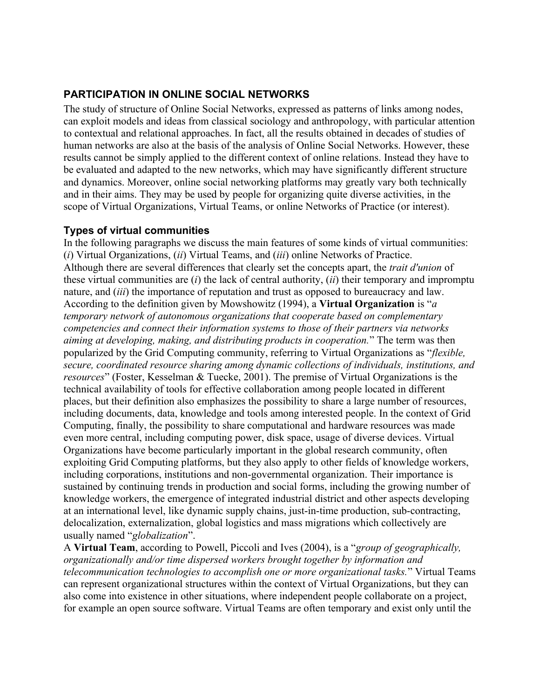## **PARTICIPATION IN ONLINE SOCIAL NETWORKS**

The study of structure of Online Social Networks, expressed as patterns of links among nodes, can exploit models and ideas from classical sociology and anthropology, with particular attention to contextual and relational approaches. In fact, all the results obtained in decades of studies of human networks are also at the basis of the analysis of Online Social Networks. However, these results cannot be simply applied to the different context of online relations. Instead they have to be evaluated and adapted to the new networks, which may have significantly different structure and dynamics. Moreover, online social networking platforms may greatly vary both technically and in their aims. They may be used by people for organizing quite diverse activities, in the scope of Virtual Organizations, Virtual Teams, or online Networks of Practice (or interest).

#### **Types of virtual communities**

In the following paragraphs we discuss the main features of some kinds of virtual communities: (*i*) Virtual Organizations, (*ii*) Virtual Teams, and (*iii*) online Networks of Practice. Although there are several differences that clearly set the concepts apart, the *trait d'union* of these virtual communities are (*i*) the lack of central authority, (*ii*) their temporary and impromptu nature, and (*iii*) the importance of reputation and trust as opposed to bureaucracy and law. According to the definition given by Mowshowitz (1994), a **Virtual Organization** is "*a temporary network of autonomous organizations that cooperate based on complementary competencies and connect their information systems to those of their partners via networks aiming at developing, making, and distributing products in cooperation.*" The term was then popularized by the Grid Computing community, referring to Virtual Organizations as "*flexible, secure, coordinated resource sharing among dynamic collections of individuals, institutions, and resources*" (Foster, Kesselman & Tuecke, 2001). The premise of Virtual Organizations is the technical availability of tools for effective collaboration among people located in different places, but their definition also emphasizes the possibility to share a large number of resources, including documents, data, knowledge and tools among interested people. In the context of Grid Computing, finally, the possibility to share computational and hardware resources was made even more central, including computing power, disk space, usage of diverse devices. Virtual Organizations have become particularly important in the global research community, often exploiting Grid Computing platforms, but they also apply to other fields of knowledge workers, including corporations, institutions and non-governmental organization. Their importance is sustained by continuing trends in production and social forms, including the growing number of knowledge workers, the emergence of integrated industrial district and other aspects developing at an international level, like dynamic supply chains, just-in-time production, sub-contracting, delocalization, externalization, global logistics and mass migrations which collectively are usually named "*globalization*".

A **Virtual Team**, according to Powell, Piccoli and Ives (2004), is a "*group of geographically, organizationally and/or time dispersed workers brought together by information and telecommunication technologies to accomplish one or more organizational tasks.*" Virtual Teams can represent organizational structures within the context of Virtual Organizations, but they can also come into existence in other situations, where independent people collaborate on a project, for example an open source software. Virtual Teams are often temporary and exist only until the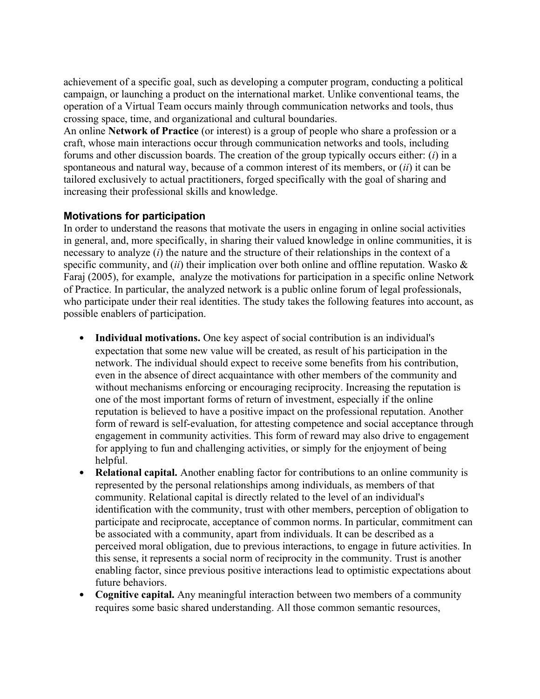achievement of a specific goal, such as developing a computer program, conducting a political campaign, or launching a product on the international market. Unlike conventional teams, the operation of a Virtual Team occurs mainly through communication networks and tools, thus crossing space, time, and organizational and cultural boundaries.

An online **Network of Practice** (or interest) is a group of people who share a profession or a craft, whose main interactions occur through communication networks and tools, including forums and other discussion boards. The creation of the group typically occurs either: (*i*) in a spontaneous and natural way, because of a common interest of its members, or (*ii*) it can be tailored exclusively to actual practitioners, forged specifically with the goal of sharing and increasing their professional skills and knowledge.

# **Motivations for participation**

In order to understand the reasons that motivate the users in engaging in online social activities in general, and, more specifically, in sharing their valued knowledge in online communities, it is necessary to analyze (*i*) the nature and the structure of their relationships in the context of a specific community, and *(ii)* their implication over both online and offline reputation. Wasko & Faraj (2005), for example, analyze the motivations for participation in a specific online Network of Practice. In particular, the analyzed network is a public online forum of legal professionals, who participate under their real identities. The study takes the following features into account, as possible enablers of participation.

- **Individual motivations.** One key aspect of social contribution is an individual's expectation that some new value will be created, as result of his participation in the network. The individual should expect to receive some benefits from his contribution, even in the absence of direct acquaintance with other members of the community and without mechanisms enforcing or encouraging reciprocity. Increasing the reputation is one of the most important forms of return of investment, especially if the online reputation is believed to have a positive impact on the professional reputation. Another form of reward is self-evaluation, for attesting competence and social acceptance through engagement in community activities. This form of reward may also drive to engagement for applying to fun and challenging activities, or simply for the enjoyment of being helpful.
- **Relational capital.** Another enabling factor for contributions to an online community is represented by the personal relationships among individuals, as members of that community. Relational capital is directly related to the level of an individual's identification with the community, trust with other members, perception of obligation to participate and reciprocate, acceptance of common norms. In particular, commitment can be associated with a community, apart from individuals. It can be described as a perceived moral obligation, due to previous interactions, to engage in future activities. In this sense, it represents a social norm of reciprocity in the community. Trust is another enabling factor, since previous positive interactions lead to optimistic expectations about future behaviors.
- **Cognitive capital.** Any meaningful interaction between two members of a community requires some basic shared understanding. All those common semantic resources,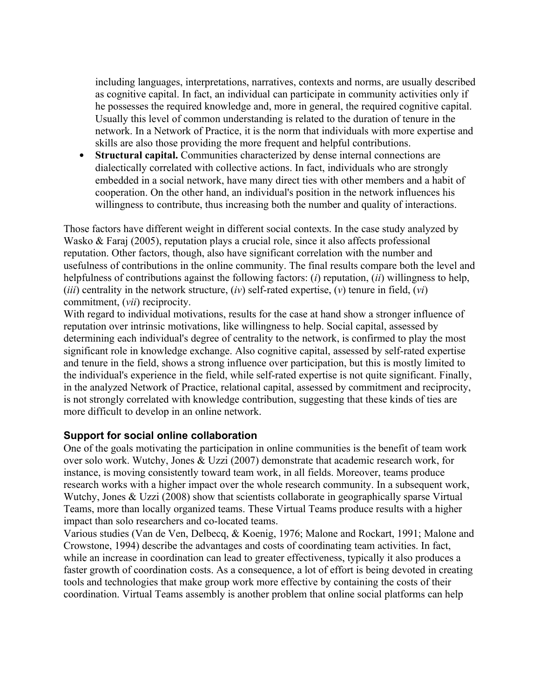including languages, interpretations, narratives, contexts and norms, are usually described as cognitive capital. In fact, an individual can participate in community activities only if he possesses the required knowledge and, more in general, the required cognitive capital. Usually this level of common understanding is related to the duration of tenure in the network. In a Network of Practice, it is the norm that individuals with more expertise and skills are also those providing the more frequent and helpful contributions.

 **Structural capital.** Communities characterized by dense internal connections are dialectically correlated with collective actions. In fact, individuals who are strongly embedded in a social network, have many direct ties with other members and a habit of cooperation. On the other hand, an individual's position in the network influences his willingness to contribute, thus increasing both the number and quality of interactions.

Those factors have different weight in different social contexts. In the case study analyzed by Wasko & Faraj (2005), reputation plays a crucial role, since it also affects professional reputation. Other factors, though, also have significant correlation with the number and usefulness of contributions in the online community. The final results compare both the level and helpfulness of contributions against the following factors: (*i*) reputation, (*ii*) willingness to help, (*iii*) centrality in the network structure, (*iv*) self-rated expertise, (*v*) tenure in field, (*vi*) commitment, (*vii*) reciprocity.

With regard to individual motivations, results for the case at hand show a stronger influence of reputation over intrinsic motivations, like willingness to help. Social capital, assessed by determining each individual's degree of centrality to the network, is confirmed to play the most significant role in knowledge exchange. Also cognitive capital, assessed by self-rated expertise and tenure in the field, shows a strong influence over participation, but this is mostly limited to the individual's experience in the field, while self-rated expertise is not quite significant. Finally, in the analyzed Network of Practice, relational capital, assessed by commitment and reciprocity, is not strongly correlated with knowledge contribution, suggesting that these kinds of ties are more difficult to develop in an online network.

## **Support for social online collaboration**

One of the goals motivating the participation in online communities is the benefit of team work over solo work. Wutchy, Jones & Uzzi (2007) demonstrate that academic research work, for instance, is moving consistently toward team work, in all fields. Moreover, teams produce research works with a higher impact over the whole research community. In a subsequent work, Wutchy, Jones & Uzzi (2008) show that scientists collaborate in geographically sparse Virtual Teams, more than locally organized teams. These Virtual Teams produce results with a higher impact than solo researchers and co-located teams.

Various studies (Van de Ven, Delbecq, & Koenig, 1976; Malone and Rockart, 1991; Malone and Crowstone, 1994) describe the advantages and costs of coordinating team activities. In fact, while an increase in coordination can lead to greater effectiveness, typically it also produces a faster growth of coordination costs. As a consequence, a lot of effort is being devoted in creating tools and technologies that make group work more effective by containing the costs of their coordination. Virtual Teams assembly is another problem that online social platforms can help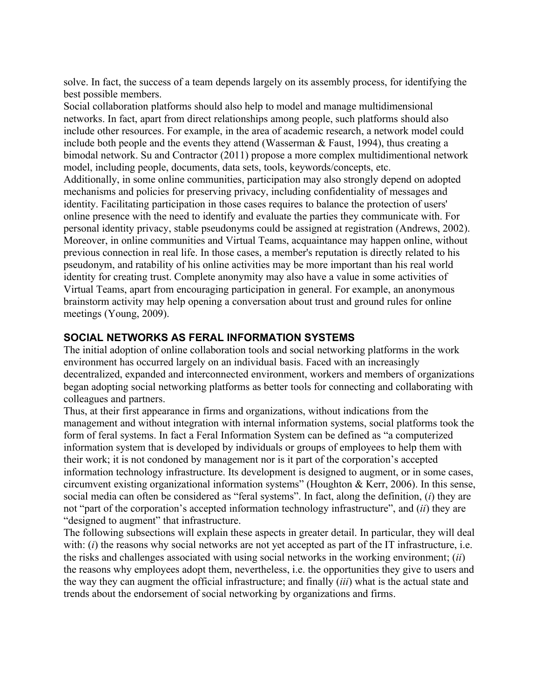solve. In fact, the success of a team depends largely on its assembly process, for identifying the best possible members.

Social collaboration platforms should also help to model and manage multidimensional networks. In fact, apart from direct relationships among people, such platforms should also include other resources. For example, in the area of academic research, a network model could include both people and the events they attend (Wasserman  $\&$  Faust, 1994), thus creating a bimodal network. Su and Contractor (2011) propose a more complex multidimentional network model, including people, documents, data sets, tools, keywords/concepts, etc. Additionally, in some online communities, participation may also strongly depend on adopted mechanisms and policies for preserving privacy, including confidentiality of messages and identity. Facilitating participation in those cases requires to balance the protection of users' online presence with the need to identify and evaluate the parties they communicate with. For personal identity privacy, stable pseudonyms could be assigned at registration (Andrews, 2002). Moreover, in online communities and Virtual Teams, acquaintance may happen online, without previous connection in real life. In those cases, a member's reputation is directly related to his pseudonym, and ratability of his online activities may be more important than his real world identity for creating trust. Complete anonymity may also have a value in some activities of Virtual Teams, apart from encouraging participation in general. For example, an anonymous brainstorm activity may help opening a conversation about trust and ground rules for online meetings (Young, 2009).

## **SOCIAL NETWORKS AS FERAL INFORMATION SYSTEMS**

The initial adoption of online collaboration tools and social networking platforms in the work environment has occurred largely on an individual basis. Faced with an increasingly decentralized, expanded and interconnected environment, workers and members of organizations began adopting social networking platforms as better tools for connecting and collaborating with colleagues and partners.

Thus, at their first appearance in firms and organizations, without indications from the management and without integration with internal information systems, social platforms took the form of feral systems. In fact a Feral Information System can be defined as "a computerized information system that is developed by individuals or groups of employees to help them with their work; it is not condoned by management nor is it part of the corporation's accepted information technology infrastructure. Its development is designed to augment, or in some cases, circumvent existing organizational information systems" (Houghton & Kerr, 2006). In this sense, social media can often be considered as "feral systems". In fact, along the definition, (*i*) they are not "part of the corporation's accepted information technology infrastructure", and (*ii*) they are "designed to augment" that infrastructure.

The following subsections will explain these aspects in greater detail. In particular, they will deal with: (*i*) the reasons why social networks are not yet accepted as part of the IT infrastructure, i.e. the risks and challenges associated with using social networks in the working environment; (*ii*) the reasons why employees adopt them, nevertheless, i.e. the opportunities they give to users and the way they can augment the official infrastructure; and finally (*iii*) what is the actual state and trends about the endorsement of social networking by organizations and firms.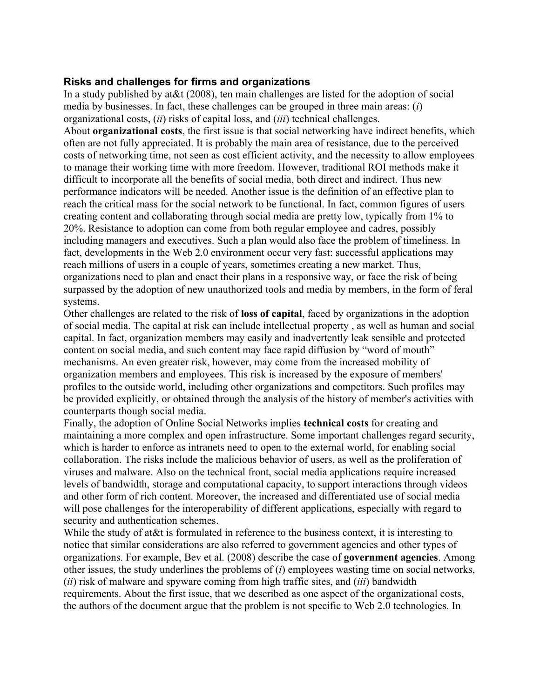#### **Risks and challenges for firms and organizations**

In a study published by at&t (2008), ten main challenges are listed for the adoption of social media by businesses. In fact, these challenges can be grouped in three main areas: (*i*) organizational costs, (*ii*) risks of capital loss, and (*iii*) technical challenges. About **organizational costs**, the first issue is that social networking have indirect benefits, which often are not fully appreciated. It is probably the main area of resistance, due to the perceived costs of networking time, not seen as cost efficient activity, and the necessity to allow employees to manage their working time with more freedom. However, traditional ROI methods make it difficult to incorporate all the benefits of social media, both direct and indirect. Thus new performance indicators will be needed. Another issue is the definition of an effective plan to reach the critical mass for the social network to be functional. In fact, common figures of users creating content and collaborating through social media are pretty low, typically from 1% to 20%. Resistance to adoption can come from both regular employee and cadres, possibly including managers and executives. Such a plan would also face the problem of timeliness. In fact, developments in the Web 2.0 environment occur very fast: successful applications may reach millions of users in a couple of years, sometimes creating a new market. Thus, organizations need to plan and enact their plans in a responsive way, or face the risk of being surpassed by the adoption of new unauthorized tools and media by members, in the form of feral systems.

Other challenges are related to the risk of **loss of capital**, faced by organizations in the adoption of social media. The capital at risk can include intellectual property , as well as human and social capital. In fact, organization members may easily and inadvertently leak sensible and protected content on social media, and such content may face rapid diffusion by "word of mouth" mechanisms. An even greater risk, however, may come from the increased mobility of organization members and employees. This risk is increased by the exposure of members' profiles to the outside world, including other organizations and competitors. Such profiles may be provided explicitly, or obtained through the analysis of the history of member's activities with counterparts though social media.

Finally, the adoption of Online Social Networks implies **technical costs** for creating and maintaining a more complex and open infrastructure. Some important challenges regard security, which is harder to enforce as intranets need to open to the external world, for enabling social collaboration. The risks include the malicious behavior of users, as well as the proliferation of viruses and malware. Also on the technical front, social media applications require increased levels of bandwidth, storage and computational capacity, to support interactions through videos and other form of rich content. Moreover, the increased and differentiated use of social media will pose challenges for the interoperability of different applications, especially with regard to security and authentication schemes.

While the study of at &t is formulated in reference to the business context, it is interesting to notice that similar considerations are also referred to government agencies and other types of organizations. For example, Bev et al. (2008) describe the case of **government agencies**. Among other issues, the study underlines the problems of (*i*) employees wasting time on social networks, (*ii*) risk of malware and spyware coming from high traffic sites, and (*iii*) bandwidth requirements. About the first issue, that we described as one aspect of the organizational costs, the authors of the document argue that the problem is not specific to Web 2.0 technologies. In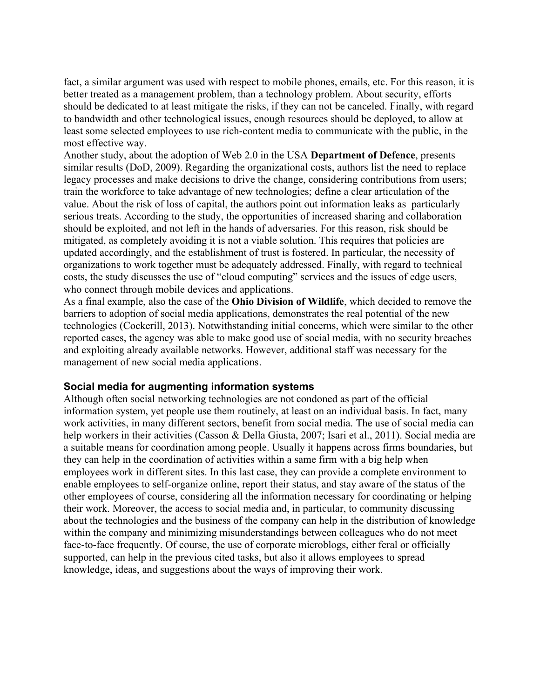fact, a similar argument was used with respect to mobile phones, emails, etc. For this reason, it is better treated as a management problem, than a technology problem. About security, efforts should be dedicated to at least mitigate the risks, if they can not be canceled. Finally, with regard to bandwidth and other technological issues, enough resources should be deployed, to allow at least some selected employees to use rich-content media to communicate with the public, in the most effective way.

Another study, about the adoption of Web 2.0 in the USA **Department of Defence**, presents similar results (DoD, 2009). Regarding the organizational costs, authors list the need to replace legacy processes and make decisions to drive the change, considering contributions from users; train the workforce to take advantage of new technologies; define a clear articulation of the value. About the risk of loss of capital, the authors point out information leaks as particularly serious treats. According to the study, the opportunities of increased sharing and collaboration should be exploited, and not left in the hands of adversaries. For this reason, risk should be mitigated, as completely avoiding it is not a viable solution. This requires that policies are updated accordingly, and the establishment of trust is fostered. In particular, the necessity of organizations to work together must be adequately addressed. Finally, with regard to technical costs, the study discusses the use of "cloud computing" services and the issues of edge users, who connect through mobile devices and applications.

As a final example, also the case of the **Ohio Division of Wildlife**, which decided to remove the barriers to adoption of social media applications, demonstrates the real potential of the new technologies (Cockerill, 2013). Notwithstanding initial concerns, which were similar to the other reported cases, the agency was able to make good use of social media, with no security breaches and exploiting already available networks. However, additional staff was necessary for the management of new social media applications.

#### **Social media for augmenting information systems**

Although often social networking technologies are not condoned as part of the official information system, yet people use them routinely, at least on an individual basis. In fact, many work activities, in many different sectors, benefit from social media. The use of social media can help workers in their activities (Casson & Della Giusta, 2007; Isari et al., 2011). Social media are a suitable means for coordination among people. Usually it happens across firms boundaries, but they can help in the coordination of activities within a same firm with a big help when employees work in different sites. In this last case, they can provide a complete environment to enable employees to self-organize online, report their status, and stay aware of the status of the other employees of course, considering all the information necessary for coordinating or helping their work. Moreover, the access to social media and, in particular, to community discussing about the technologies and the business of the company can help in the distribution of knowledge within the company and minimizing misunderstandings between colleagues who do not meet face-to-face frequently. Of course, the use of corporate microblogs, either feral or officially supported, can help in the previous cited tasks, but also it allows employees to spread knowledge, ideas, and suggestions about the ways of improving their work.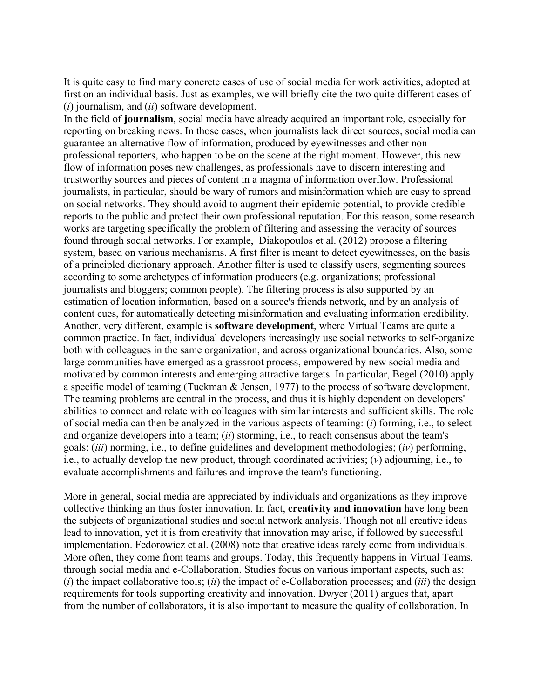It is quite easy to find many concrete cases of use of social media for work activities, adopted at first on an individual basis. Just as examples, we will briefly cite the two quite different cases of (*i*) journalism, and (*ii*) software development.

In the field of **journalism**, social media have already acquired an important role, especially for reporting on breaking news. In those cases, when journalists lack direct sources, social media can guarantee an alternative flow of information, produced by eyewitnesses and other non professional reporters, who happen to be on the scene at the right moment. However, this new flow of information poses new challenges, as professionals have to discern interesting and trustworthy sources and pieces of content in a magma of information overflow. Professional journalists, in particular, should be wary of rumors and misinformation which are easy to spread on social networks. They should avoid to augment their epidemic potential, to provide credible reports to the public and protect their own professional reputation. For this reason, some research works are targeting specifically the problem of filtering and assessing the veracity of sources found through social networks. For example, Diakopoulos et al. (2012) propose a filtering system, based on various mechanisms. A first filter is meant to detect eyewitnesses, on the basis of a principled dictionary approach. Another filter is used to classify users, segmenting sources according to some archetypes of information producers (e.g. organizations; professional journalists and bloggers; common people). The filtering process is also supported by an estimation of location information, based on a source's friends network, and by an analysis of content cues, for automatically detecting misinformation and evaluating information credibility. Another, very different, example is **software development**, where Virtual Teams are quite a common practice. In fact, individual developers increasingly use social networks to self-organize both with colleagues in the same organization, and across organizational boundaries. Also, some large communities have emerged as a grassroot process, empowered by new social media and motivated by common interests and emerging attractive targets. In particular, Begel (2010) apply a specific model of teaming (Tuckman & Jensen, 1977) to the process of software development. The teaming problems are central in the process, and thus it is highly dependent on developers' abilities to connect and relate with colleagues with similar interests and sufficient skills. The role of social media can then be analyzed in the various aspects of teaming: (*i*) forming, i.e., to select and organize developers into a team; (*ii*) storming, i.e., to reach consensus about the team's goals; (*iii*) norming, i.e., to define guidelines and development methodologies; (*iv*) performing, i.e., to actually develop the new product, through coordinated activities; (*v*) adjourning, i.e., to evaluate accomplishments and failures and improve the team's functioning.

More in general, social media are appreciated by individuals and organizations as they improve collective thinking an thus foster innovation. In fact, **creativity and innovation** have long been the subjects of organizational studies and social network analysis. Though not all creative ideas lead to innovation, yet it is from creativity that innovation may arise, if followed by successful implementation. Fedorowicz et al. (2008) note that creative ideas rarely come from individuals. More often, they come from teams and groups. Today, this frequently happens in Virtual Teams, through social media and e-Collaboration. Studies focus on various important aspects, such as: (*i*) the impact collaborative tools; (*ii*) the impact of e-Collaboration processes; and (*iii*) the design requirements for tools supporting creativity and innovation. Dwyer (2011) argues that, apart from the number of collaborators, it is also important to measure the quality of collaboration. In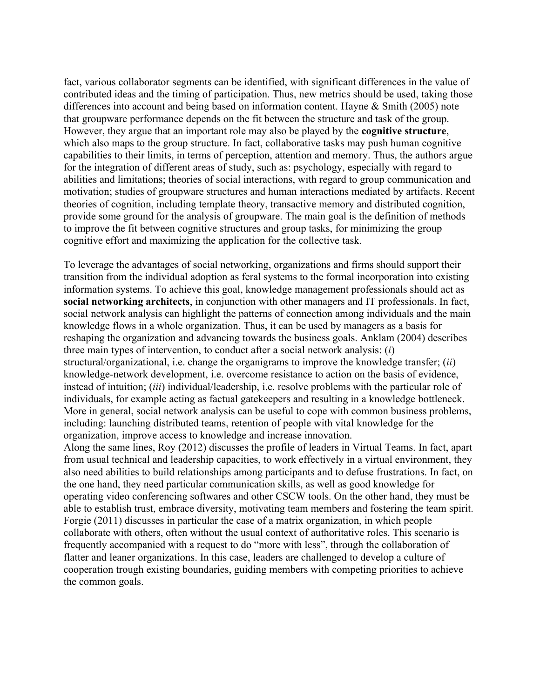fact, various collaborator segments can be identified, with significant differences in the value of contributed ideas and the timing of participation. Thus, new metrics should be used, taking those differences into account and being based on information content. Hayne & Smith (2005) note that groupware performance depends on the fit between the structure and task of the group. However, they argue that an important role may also be played by the **cognitive structure**, which also maps to the group structure. In fact, collaborative tasks may push human cognitive capabilities to their limits, in terms of perception, attention and memory. Thus, the authors argue for the integration of different areas of study, such as: psychology, especially with regard to abilities and limitations; theories of social interactions, with regard to group communication and motivation; studies of groupware structures and human interactions mediated by artifacts. Recent theories of cognition, including template theory, transactive memory and distributed cognition, provide some ground for the analysis of groupware. The main goal is the definition of methods to improve the fit between cognitive structures and group tasks, for minimizing the group cognitive effort and maximizing the application for the collective task.

To leverage the advantages of social networking, organizations and firms should support their transition from the individual adoption as feral systems to the formal incorporation into existing information systems. To achieve this goal, knowledge management professionals should act as **social networking architects**, in conjunction with other managers and IT professionals. In fact, social network analysis can highlight the patterns of connection among individuals and the main knowledge flows in a whole organization. Thus, it can be used by managers as a basis for reshaping the organization and advancing towards the business goals. Anklam (2004) describes three main types of intervention, to conduct after a social network analysis: (*i*) structural/organizational, i.e. change the organigrams to improve the knowledge transfer; (*ii*) knowledge-network development, i.e. overcome resistance to action on the basis of evidence, instead of intuition; (*iii*) individual/leadership, i.e. resolve problems with the particular role of individuals, for example acting as factual gatekeepers and resulting in a knowledge bottleneck. More in general, social network analysis can be useful to cope with common business problems, including: launching distributed teams, retention of people with vital knowledge for the organization, improve access to knowledge and increase innovation.

Along the same lines, Roy (2012) discusses the profile of leaders in Virtual Teams. In fact, apart from usual technical and leadership capacities, to work effectively in a virtual environment, they also need abilities to build relationships among participants and to defuse frustrations. In fact, on the one hand, they need particular communication skills, as well as good knowledge for operating video conferencing softwares and other CSCW tools. On the other hand, they must be able to establish trust, embrace diversity, motivating team members and fostering the team spirit. Forgie (2011) discusses in particular the case of a matrix organization, in which people collaborate with others, often without the usual context of authoritative roles. This scenario is frequently accompanied with a request to do "more with less", through the collaboration of flatter and leaner organizations. In this case, leaders are challenged to develop a culture of cooperation trough existing boundaries, guiding members with competing priorities to achieve the common goals.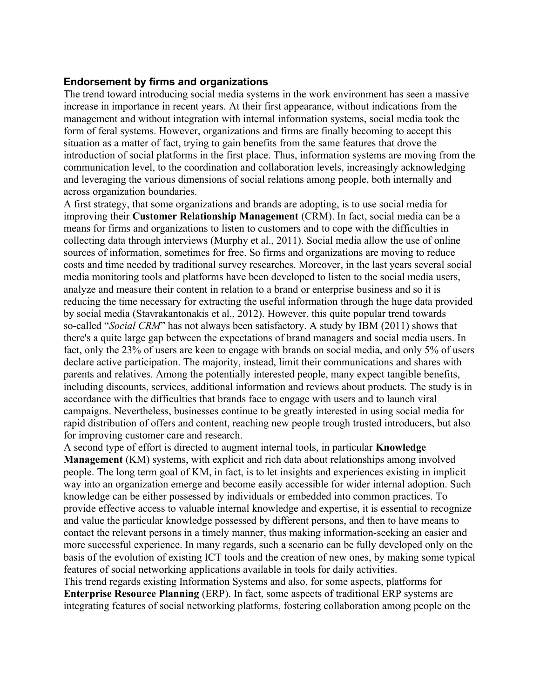#### **Endorsement by firms and organizations**

The trend toward introducing social media systems in the work environment has seen a massive increase in importance in recent years. At their first appearance, without indications from the management and without integration with internal information systems, social media took the form of feral systems. However, organizations and firms are finally becoming to accept this situation as a matter of fact, trying to gain benefits from the same features that drove the introduction of social platforms in the first place. Thus, information systems are moving from the communication level, to the coordination and collaboration levels, increasingly acknowledging and leveraging the various dimensions of social relations among people, both internally and across organization boundaries.

A first strategy, that some organizations and brands are adopting, is to use social media for improving their **Customer Relationship Management** (CRM). In fact, social media can be a means for firms and organizations to listen to customers and to cope with the difficulties in collecting data through interviews (Murphy et al., 2011). Social media allow the use of online sources of information, sometimes for free. So firms and organizations are moving to reduce costs and time needed by traditional survey researches. Moreover, in the last years several social media monitoring tools and platforms have been developed to listen to the social media users, analyze and measure their content in relation to a brand or enterprise business and so it is reducing the time necessary for extracting the useful information through the huge data provided by social media (Stavrakantonakis et al., 2012). However, this quite popular trend towards so-called "*Social CRM*" has not always been satisfactory. A study by IBM (2011) shows that there's a quite large gap between the expectations of brand managers and social media users. In fact, only the 23% of users are keen to engage with brands on social media, and only 5% of users declare active participation. The majority, instead, limit their communications and shares with parents and relatives. Among the potentially interested people, many expect tangible benefits, including discounts, services, additional information and reviews about products. The study is in accordance with the difficulties that brands face to engage with users and to launch viral campaigns. Nevertheless, businesses continue to be greatly interested in using social media for rapid distribution of offers and content, reaching new people trough trusted introducers, but also for improving customer care and research.

A second type of effort is directed to augment internal tools, in particular **Knowledge Management** (KM) systems, with explicit and rich data about relationships among involved people. The long term goal of KM, in fact, is to let insights and experiences existing in implicit way into an organization emerge and become easily accessible for wider internal adoption. Such knowledge can be either possessed by individuals or embedded into common practices. To provide effective access to valuable internal knowledge and expertise, it is essential to recognize and value the particular knowledge possessed by different persons, and then to have means to contact the relevant persons in a timely manner, thus making information-seeking an easier and more successful experience. In many regards, such a scenario can be fully developed only on the basis of the evolution of existing ICT tools and the creation of new ones, by making some typical features of social networking applications available in tools for daily activities.

This trend regards existing Information Systems and also, for some aspects, platforms for **Enterprise Resource Planning** (ERP). In fact, some aspects of traditional ERP systems are integrating features of social networking platforms, fostering collaboration among people on the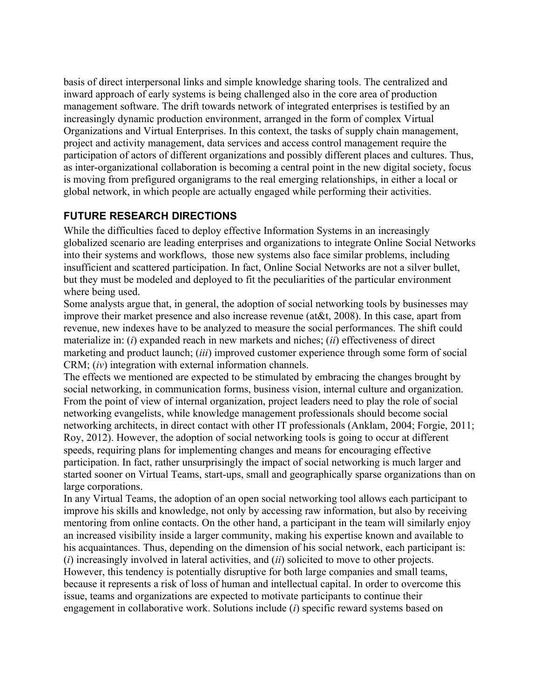basis of direct interpersonal links and simple knowledge sharing tools. The centralized and inward approach of early systems is being challenged also in the core area of production management software. The drift towards network of integrated enterprises is testified by an increasingly dynamic production environment, arranged in the form of complex Virtual Organizations and Virtual Enterprises. In this context, the tasks of supply chain management, project and activity management, data services and access control management require the participation of actors of different organizations and possibly different places and cultures. Thus, as inter-organizational collaboration is becoming a central point in the new digital society, focus is moving from prefigured organigrams to the real emerging relationships, in either a local or global network, in which people are actually engaged while performing their activities.

# **FUTURE RESEARCH DIRECTIONS**

While the difficulties faced to deploy effective Information Systems in an increasingly globalized scenario are leading enterprises and organizations to integrate Online Social Networks into their systems and workflows, those new systems also face similar problems, including insufficient and scattered participation. In fact, Online Social Networks are not a silver bullet, but they must be modeled and deployed to fit the peculiarities of the particular environment where being used.

Some analysts argue that, in general, the adoption of social networking tools by businesses may improve their market presence and also increase revenue (at&t, 2008). In this case, apart from revenue, new indexes have to be analyzed to measure the social performances. The shift could materialize in: (*i*) expanded reach in new markets and niches; (*ii*) effectiveness of direct marketing and product launch; (*iii*) improved customer experience through some form of social CRM; (*iv*) integration with external information channels.

The effects we mentioned are expected to be stimulated by embracing the changes brought by social networking, in communication forms, business vision, internal culture and organization. From the point of view of internal organization, project leaders need to play the role of social networking evangelists, while knowledge management professionals should become social networking architects, in direct contact with other IT professionals (Anklam, 2004; Forgie, 2011; Roy, 2012). However, the adoption of social networking tools is going to occur at different speeds, requiring plans for implementing changes and means for encouraging effective participation. In fact, rather unsurprisingly the impact of social networking is much larger and started sooner on Virtual Teams, start-ups, small and geographically sparse organizations than on large corporations.

In any Virtual Teams, the adoption of an open social networking tool allows each participant to improve his skills and knowledge, not only by accessing raw information, but also by receiving mentoring from online contacts. On the other hand, a participant in the team will similarly enjoy an increased visibility inside a larger community, making his expertise known and available to his acquaintances. Thus, depending on the dimension of his social network, each participant is: (*i*) increasingly involved in lateral activities, and (*ii*) solicited to move to other projects. However, this tendency is potentially disruptive for both large companies and small teams, because it represents a risk of loss of human and intellectual capital. In order to overcome this issue, teams and organizations are expected to motivate participants to continue their engagement in collaborative work. Solutions include (*i*) specific reward systems based on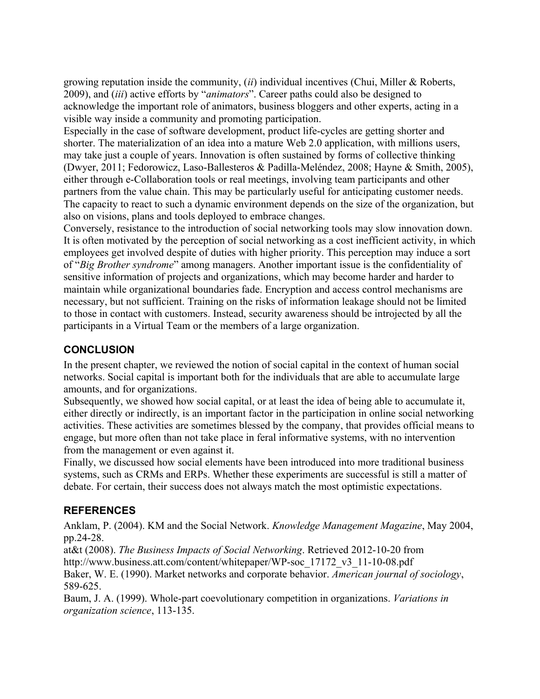growing reputation inside the community, (*ii*) individual incentives (Chui, Miller & Roberts, 2009), and (*iii*) active efforts by "*animators*". Career paths could also be designed to acknowledge the important role of animators, business bloggers and other experts, acting in a visible way inside a community and promoting participation.

Especially in the case of software development, product life-cycles are getting shorter and shorter. The materialization of an idea into a mature Web 2.0 application, with millions users, may take just a couple of years. Innovation is often sustained by forms of collective thinking (Dwyer, 2011; Fedorowicz, Laso-Ballesteros & Padilla-Meléndez, 2008; Hayne & Smith, 2005), either through e-Collaboration tools or real meetings, involving team participants and other partners from the value chain. This may be particularly useful for anticipating customer needs. The capacity to react to such a dynamic environment depends on the size of the organization, but also on visions, plans and tools deployed to embrace changes.

Conversely, resistance to the introduction of social networking tools may slow innovation down. It is often motivated by the perception of social networking as a cost inefficient activity, in which employees get involved despite of duties with higher priority. This perception may induce a sort of "*Big Brother syndrome*" among managers. Another important issue is the confidentiality of sensitive information of projects and organizations, which may become harder and harder to maintain while organizational boundaries fade. Encryption and access control mechanisms are necessary, but not sufficient. Training on the risks of information leakage should not be limited to those in contact with customers. Instead, security awareness should be introjected by all the participants in a Virtual Team or the members of a large organization.

# **CONCLUSION**

In the present chapter, we reviewed the notion of social capital in the context of human social networks. Social capital is important both for the individuals that are able to accumulate large amounts, and for organizations.

Subsequently, we showed how social capital, or at least the idea of being able to accumulate it, either directly or indirectly, is an important factor in the participation in online social networking activities. These activities are sometimes blessed by the company, that provides official means to engage, but more often than not take place in feral informative systems, with no intervention from the management or even against it.

Finally, we discussed how social elements have been introduced into more traditional business systems, such as CRMs and ERPs. Whether these experiments are successful is still a matter of debate. For certain, their success does not always match the most optimistic expectations.

## **REFERENCES**

Anklam, P. (2004). KM and the Social Network. *Knowledge Management Magazine*, May 2004, pp.24-28.

at&t (2008). *The Business Impacts of Social Networking*. Retrieved 2012-10-20 from http://www.business.att.com/content/whitepaper/WP-soc\_17172\_v3\_11-10-08.pdf

Baker, W. E. (1990). Market networks and corporate behavior. *American journal of sociology*, 589-625.

Baum, J. A. (1999). Whole-part coevolutionary competition in organizations. *Variations in organization science*, 113-135.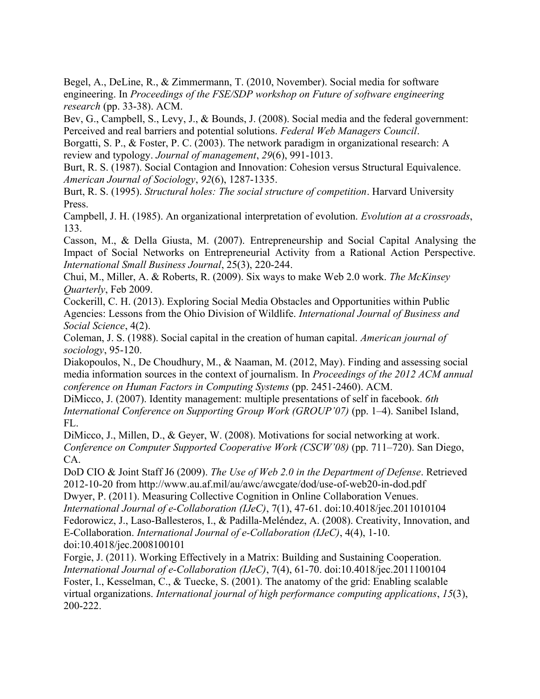Begel, A., DeLine, R., & Zimmermann, T. (2010, November). Social media for software engineering. In *Proceedings of the FSE/SDP workshop on Future of software engineering research* (pp. 33-38). ACM.

Bev, G., Campbell, S., Levy, J., & Bounds, J. (2008). Social media and the federal government: Perceived and real barriers and potential solutions. *Federal Web Managers Council*.

Borgatti, S. P., & Foster, P. C. (2003). The network paradigm in organizational research: A review and typology. *Journal of management*, *29*(6), 991-1013.

Burt, R. S. (1987). Social Contagion and Innovation: Cohesion versus Structural Equivalence. *American Journal of Sociology*, *92*(6), 1287-1335.

Burt, R. S. (1995). *Structural holes: The social structure of competition*. Harvard University Press.

Campbell, J. H. (1985). An organizational interpretation of evolution. *Evolution at a crossroads*, 133.

Casson, M., & Della Giusta, M. (2007). Entrepreneurship and Social Capital Analysing the Impact of Social Networks on Entrepreneurial Activity from a Rational Action Perspective. *International Small Business Journal*, 25(3), 220-244.

Chui, M., Miller, A. & Roberts, R. (2009). Six ways to make Web 2.0 work. *The McKinsey Quarterly*, Feb 2009.

Cockerill, C. H. (2013). Exploring Social Media Obstacles and Opportunities within Public Agencies: Lessons from the Ohio Division of Wildlife. *International Journal of Business and Social Science*, 4(2).

Coleman, J. S. (1988). Social capital in the creation of human capital. *American journal of sociology*, 95-120.

Diakopoulos, N., De Choudhury, M., & Naaman, M. (2012, May). Finding and assessing social media information sources in the context of journalism. In *Proceedings of the 2012 ACM annual conference on Human Factors in Computing Systems* (pp. 2451-2460). ACM.

DiMicco, J. (2007). Identity management: multiple presentations of self in facebook. *6th International Conference on Supporting Group Work (GROUP'07)* (pp. 1–4). Sanibel Island, FL.

DiMicco, J., Millen, D., & Geyer, W. (2008). Motivations for social networking at work. *Conference on Computer Supported Cooperative Work (CSCW'08)* (pp. 711–720). San Diego, CA.

DoD CIO & Joint Staff J6 (2009). *The Use of Web 2.0 in the Department of Defense*. Retrieved 2012-10-20 from http://www.au.af.mil/au/awc/awcgate/dod/use-of-web20-in-dod.pdf Dwyer, P. (2011). Measuring Collective Cognition in Online Collaboration Venues.

*International Journal of e-Collaboration (IJeC)*, 7(1), 47-61. doi:10.4018/jec.2011010104 Fedorowicz, J., Laso-Ballesteros, I., & Padilla-Meléndez, A. (2008). Creativity, Innovation, and E-Collaboration. *International Journal of e-Collaboration (IJeC)*, 4(4), 1-10. doi:10.4018/jec.2008100101

Forgie, J. (2011). Working Effectively in a Matrix: Building and Sustaining Cooperation. *International Journal of e-Collaboration (IJeC)*, 7(4), 61-70. doi:10.4018/jec.2011100104 Foster, I., Kesselman, C., & Tuecke, S. (2001). The anatomy of the grid: Enabling scalable virtual organizations. *International journal of high performance computing applications*, *15*(3), 200-222.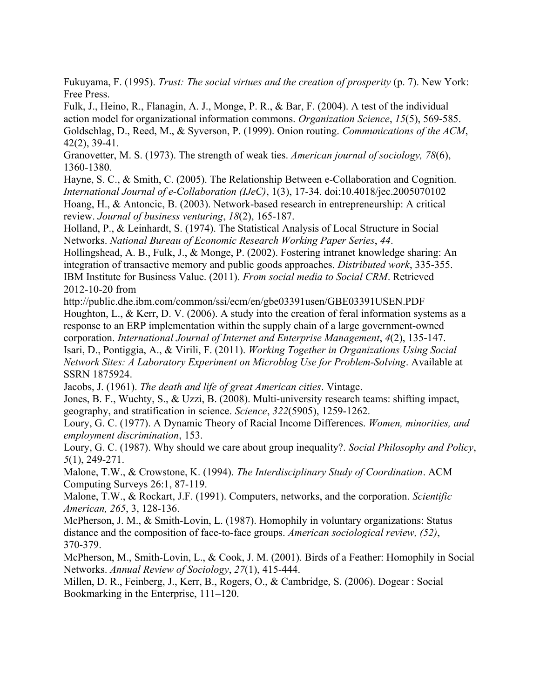Fukuyama, F. (1995). *Trust: The social virtues and the creation of prosperity* (p. 7). New York: Free Press.

Fulk, J., Heino, R., Flanagin, A. J., Monge, P. R., & Bar, F. (2004). A test of the individual action model for organizational information commons. *Organization Science*, *15*(5), 569-585. Goldschlag, D., Reed, M., & Syverson, P. (1999). Onion routing. *Communications of the ACM*, 42(2), 39-41.

Granovetter, M. S. (1973). The strength of weak ties. *American journal of sociology, 78*(6), 1360-1380.

Hayne, S. C., & Smith, C. (2005). The Relationship Between e-Collaboration and Cognition. *International Journal of e-Collaboration (IJeC)*, 1(3), 17-34. doi:10.4018/jec.2005070102 Hoang, H., & Antoncic, B. (2003). Network-based research in entrepreneurship: A critical review. *Journal of business venturing*, *18*(2), 165-187.

Holland, P., & Leinhardt, S. (1974). The Statistical Analysis of Local Structure in Social Networks. *National Bureau of Economic Research Working Paper Series*, *44*.

Hollingshead, A. B., Fulk, J., & Monge, P. (2002). Fostering intranet knowledge sharing: An integration of transactive memory and public goods approaches. *Distributed work*, 335-355. IBM Institute for Business Value. (2011). *From social media to Social CRM*. Retrieved 2012-10-20 from

http://public.dhe.ibm.com/common/ssi/ecm/en/gbe03391usen/GBE03391USEN.PDF Houghton, L., & Kerr, D. V. (2006). A study into the creation of feral information systems as a response to an ERP implementation within the supply chain of a large government-owned corporation. *International Journal of Internet and Enterprise Management*, *4*(2), 135-147. Isari, D., Pontiggia, A., & Virili, F. (2011). *Working Together in Organizations Using Social Network Sites: A Laboratory Experiment on Microblog Use for Problem-Solving*. Available at SSRN 1875924.

Jacobs, J. (1961). *The death and life of great American cities*. Vintage.

Jones, B. F., Wuchty, S., & Uzzi, B. (2008). Multi-university research teams: shifting impact, geography, and stratification in science. *Science*, *322*(5905), 1259-1262.

Loury, G. C. (1977). A Dynamic Theory of Racial Income Differences. *Women, minorities, and employment discrimination*, 153.

Loury, G. C. (1987). Why should we care about group inequality?. *Social Philosophy and Policy*, *5*(1), 249-271.

Malone, T.W., & Crowstone, K. (1994). *The Interdisciplinary Study of Coordination*. ACM Computing Surveys 26:1, 87-119.

Malone, T.W., & Rockart, J.F. (1991). Computers, networks, and the corporation. *Scientific American, 265*, 3, 128-136.

McPherson, J. M., & Smith-Lovin, L. (1987). Homophily in voluntary organizations: Status distance and the composition of face-to-face groups. *American sociological review, (52)*, 370-379.

McPherson, M., Smith-Lovin, L., & Cook, J. M. (2001). Birds of a Feather: Homophily in Social Networks. *Annual Review of Sociology*, *27*(1), 415-444.

Millen, D. R., Feinberg, J., Kerr, B., Rogers, O., & Cambridge, S. (2006). Dogear : Social Bookmarking in the Enterprise, 111–120.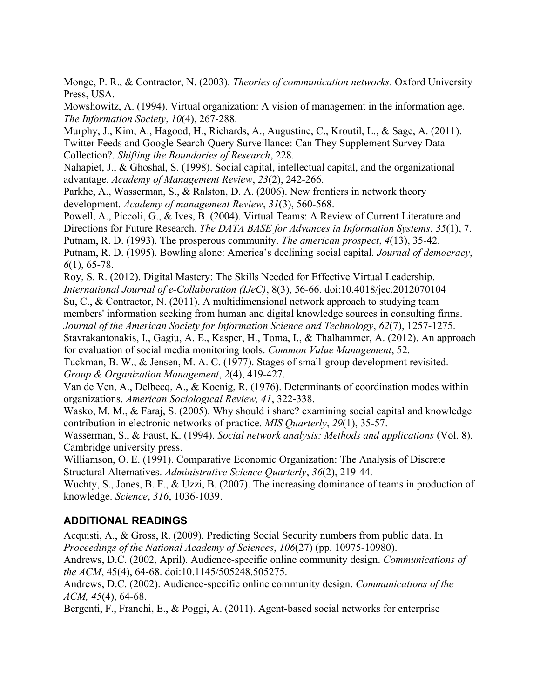Monge, P. R., & Contractor, N. (2003). *Theories of communication networks*. Oxford University Press, USA.

Mowshowitz, A. (1994). Virtual organization: A vision of management in the information age. *The Information Society*, *10*(4), 267-288.

Murphy, J., Kim, A., Hagood, H., Richards, A., Augustine, C., Kroutil, L., & Sage, A. (2011). Twitter Feeds and Google Search Query Surveillance: Can They Supplement Survey Data Collection?. *Shifting the Boundaries of Research*, 228.

Nahapiet, J., & Ghoshal, S. (1998). Social capital, intellectual capital, and the organizational advantage. *Academy of Management Review*, *23*(2), 242-266.

Parkhe, A., Wasserman, S., & Ralston, D. A. (2006). New frontiers in network theory development. *Academy of management Review*, *31*(3), 560-568.

Powell, A., Piccoli, G., & Ives, B. (2004). Virtual Teams: A Review of Current Literature and Directions for Future Research. *The DATA BASE for Advances in Information Systems*, *35*(1), 7. Putnam, R. D. (1993). The prosperous community. *The american prospect*, *4*(13), 35-42. Putnam, R. D. (1995). Bowling alone: America's declining social capital. *Journal of democracy*,

*6*(1), 65-78.

Roy, S. R. (2012). Digital Mastery: The Skills Needed for Effective Virtual Leadership. *International Journal of e-Collaboration (IJeC)*, 8(3), 56-66. doi:10.4018/jec.2012070104 Su, C., & Contractor, N. (2011). A multidimensional network approach to studying team members' information seeking from human and digital knowledge sources in consulting firms. *Journal of the American Society for Information Science and Technology*, *62*(7), 1257-1275.

Stavrakantonakis, I., Gagiu, A. E., Kasper, H., Toma, I., & Thalhammer, A. (2012). An approach for evaluation of social media monitoring tools. *Common Value Management*, 52.

Tuckman, B. W., & Jensen, M. A. C. (1977). Stages of small-group development revisited. *Group & Organization Management*, *2*(4), 419-427.

Van de Ven, A., Delbecq, A., & Koenig, R. (1976). Determinants of coordination modes within organizations. *American Sociological Review, 41*, 322-338.

Wasko, M. M., & Faraj, S. (2005). Why should i share? examining social capital and knowledge contribution in electronic networks of practice. *MIS Quarterly*, *29*(1), 35-57.

Wasserman, S., & Faust, K. (1994). *Social network analysis: Methods and applications* (Vol. 8). Cambridge university press.

Williamson, O. E. (1991). Comparative Economic Organization: The Analysis of Discrete Structural Alternatives. *Administrative Science Quarterly*, *36*(2), 219-44.

Wuchty, S., Jones, B. F., & Uzzi, B. (2007). The increasing dominance of teams in production of knowledge. *Science*, *316*, 1036-1039.

# **ADDITIONAL READINGS**

Acquisti, A., & Gross, R. (2009). Predicting Social Security numbers from public data. In *Proceedings of the National Academy of Sciences*, *106*(27) (pp. 10975-10980).

Andrews, D.C. (2002, April). Audience-specific online community design. *Communications of the ACM*, 45(4), 64-68. doi:10.1145/505248.505275.

Andrews, D.C. (2002). Audience-specific online community design. *Communications of the ACM, 45*(4), 64-68.

Bergenti, F., Franchi, E., & Poggi, A. (2011). Agent-based social networks for enterprise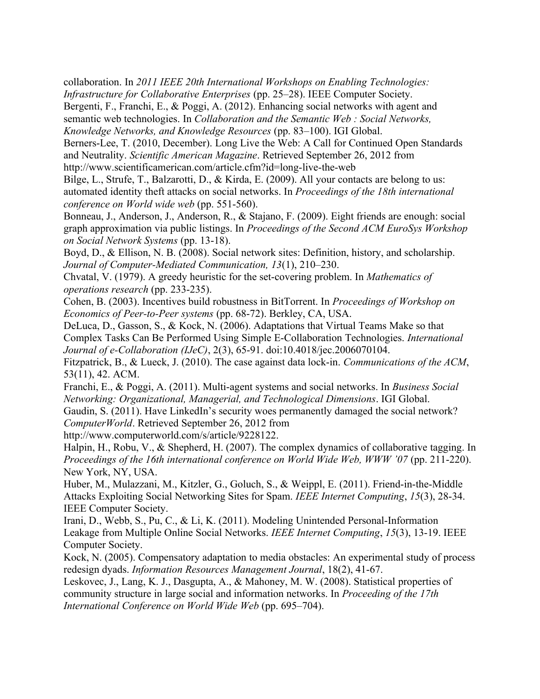collaboration. In *2011 IEEE 20th International Workshops on Enabling Technologies: Infrastructure for Collaborative Enterprises* (pp. 25–28). IEEE Computer Society.

Bergenti, F., Franchi, E., & Poggi, A. (2012). Enhancing social networks with agent and semantic web technologies. In *Collaboration and the Semantic Web : Social Networks, Knowledge Networks, and Knowledge Resources* (pp. 83–100). IGI Global.

Berners-Lee, T. (2010, December). Long Live the Web: A Call for Continued Open Standards and Neutrality. *Scientific American Magazine*. Retrieved September 26, 2012 from http://www.scientificamerican.com/article.cfm?id=long-live-the-web

Bilge, L., Strufe, T., Balzarotti, D., & Kirda, E. (2009). All your contacts are belong to us: automated identity theft attacks on social networks. In *Proceedings of the 18th international conference on World wide web* (pp. 551-560).

Bonneau, J., Anderson, J., Anderson, R., & Stajano, F. (2009). Eight friends are enough: social graph approximation via public listings. In *Proceedings of the Second ACM EuroSys Workshop on Social Network Systems* (pp. 13-18).

Boyd, D., & Ellison, N. B. (2008). Social network sites: Definition, history, and scholarship. *Journal of Computer-Mediated Communication, 13*(1), 210–230.

Chvatal, V. (1979). A greedy heuristic for the set-covering problem. In *Mathematics of operations research* (pp. 233-235).

Cohen, B. (2003). Incentives build robustness in BitTorrent. In *Proceedings of Workshop on Economics of Peer-to-Peer systems* (pp. 68-72). Berkley, CA, USA.

DeLuca, D., Gasson, S., & Kock, N. (2006). Adaptations that Virtual Teams Make so that Complex Tasks Can Be Performed Using Simple E-Collaboration Technologies. *International Journal of e-Collaboration (IJeC)*, 2(3), 65-91. doi:10.4018/jec.2006070104.

Fitzpatrick, B., & Lueck, J. (2010). The case against data lock-in. *Communications of the ACM*, 53(11), 42. ACM.

Franchi, E., & Poggi, A. (2011). Multi-agent systems and social networks. In *Business Social Networking: Organizational, Managerial, and Technological Dimensions*. IGI Global.

Gaudin, S. (2011). Have LinkedIn's security woes permanently damaged the social network? *ComputerWorld*. Retrieved September 26, 2012 from

http://www.computerworld.com/s/article/9228122.

Halpin, H., Robu, V., & Shepherd, H. (2007). The complex dynamics of collaborative tagging. In *Proceedings of the 16th international conference on World Wide Web, WWW '07* (pp. 211-220). New York, NY, USA.

Huber, M., Mulazzani, M., Kitzler, G., Goluch, S., & Weippl, E. (2011). Friend-in-the-Middle Attacks Exploiting Social Networking Sites for Spam. *IEEE Internet Computing*, *15*(3), 28-34. IEEE Computer Society.

Irani, D., Webb, S., Pu, C., & Li, K. (2011). Modeling Unintended Personal-Information Leakage from Multiple Online Social Networks. *IEEE Internet Computing*, *15*(3), 13-19. IEEE Computer Society.

Kock, N. (2005). Compensatory adaptation to media obstacles: An experimental study of process redesign dyads. *Information Resources Management Journal*, 18(2), 41-67.

Leskovec, J., Lang, K. J., Dasgupta, A., & Mahoney, M. W. (2008). Statistical properties of community structure in large social and information networks. In *Proceeding of the 17th International Conference on World Wide Web* (pp. 695–704).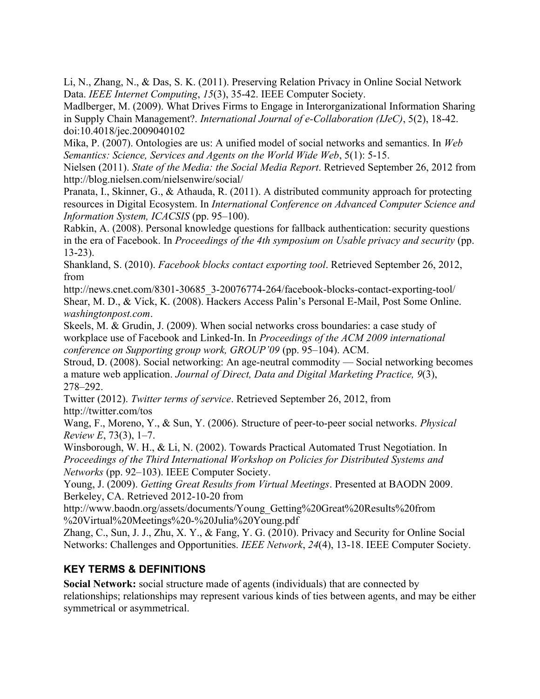Li, N., Zhang, N., & Das, S. K. (2011). Preserving Relation Privacy in Online Social Network Data. *IEEE Internet Computing*, *15*(3), 35-42. IEEE Computer Society.

Madlberger, M. (2009). What Drives Firms to Engage in Interorganizational Information Sharing in Supply Chain Management?. *International Journal of e-Collaboration (IJeC)*, 5(2), 18-42. doi:10.4018/jec.2009040102

Mika, P. (2007). Ontologies are us: A unified model of social networks and semantics. In *Web Semantics: Science, Services and Agents on the World Wide Web*, 5(1): 5-15.

Nielsen (2011). *State of the Media: the Social Media Report*. Retrieved September 26, 2012 from http://blog.nielsen.com/nielsenwire/social/

Pranata, I., Skinner, G., & Athauda, R. (2011). A distributed community approach for protecting resources in Digital Ecosystem. In *International Conference on Advanced Computer Science and Information System, ICACSIS* (pp. 95–100).

Rabkin, A. (2008). Personal knowledge questions for fallback authentication: security questions in the era of Facebook. In *Proceedings of the 4th symposium on Usable privacy and security* (pp. 13-23).

Shankland, S. (2010). *Facebook blocks contact exporting tool*. Retrieved September 26, 2012, from

http://news.cnet.com/8301-30685\_3-20076774-264/facebook-blocks-contact-exporting-tool/ Shear, M. D., & Vick, K. (2008). Hackers Access Palin's Personal E-Mail, Post Some Online. *washingtonpost.com*.

Skeels, M. & Grudin, J. (2009). When social networks cross boundaries: a case study of workplace use of Facebook and Linked-In. In *Proceedings of the ACM 2009 international conference on Supporting group work, GROUP'09* (pp. 95–104). ACM.

Stroud, D. (2008). Social networking: An age-neutral commodity — Social networking becomes a mature web application. *Journal of Direct, Data and Digital Marketing Practice, 9*(3), 278–292.

Twitter (2012). *Twitter terms of service*. Retrieved September 26, 2012, from http://twitter.com/tos

Wang, F., Moreno, Y., & Sun, Y. (2006). Structure of peer-to-peer social networks. *Physical Review E*, 73(3), 1–7.

Winsborough, W. H., & Li, N. (2002). Towards Practical Automated Trust Negotiation. In *Proceedings of the Third International Workshop on Policies for Distributed Systems and Networks* (pp. 92–103). IEEE Computer Society.

Young, J. (2009). *Getting Great Results from Virtual Meetings*. Presented at BAODN 2009. Berkeley, CA. Retrieved 2012-10-20 from

http://www.baodn.org/assets/documents/Young\_Getting%20Great%20Results%20from %20Virtual%20Meetings%20-%20Julia%20Young.pdf

Zhang, C., Sun, J. J., Zhu, X. Y., & Fang, Y. G. (2010). Privacy and Security for Online Social Networks: Challenges and Opportunities. *IEEE Network*, *24*(4), 13-18. IEEE Computer Society.

# **KEY TERMS & DEFINITIONS**

**Social Network:** social structure made of agents (individuals) that are connected by relationships; relationships may represent various kinds of ties between agents, and may be either symmetrical or asymmetrical.